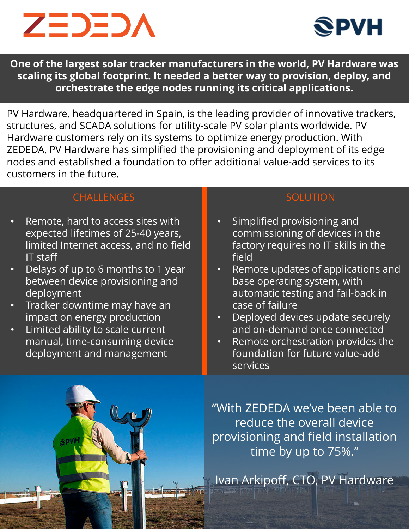



**One of the largest solar tracker manufacturers in the world, PV Hardware was scaling its global footprint. It needed a better way to provision, deploy, and orchestrate the edge nodes running its critical applications.** 

PV Hardware, headquartered in Spain, is the leading provider of innovative trackers, structures, and SCADA solutions for utility-scale PV solar plants worldwide. PV Hardware customers rely on its systems to optimize energy production. With ZEDEDA, PV Hardware has simplified the provisioning and deployment of its edge nodes and established a foundation to offer additional value-add services to its customers in the future.

#### CHALLENGES

- Remote, hard to access sites with expected lifetimes of 25-40 years, limited Internet access, and no field IT staff
- Delays of up to 6 months to 1 year between device provisioning and deployment
- Tracker downtime may have an impact on energy production
- Limited ability to scale current manual, time-consuming device deployment and management

#### **SOLUTION**

- Simplified provisioning and commissioning of devices in the factory requires no IT skills in the field
- Remote updates of applications and base operating system, with automatic testing and fail-back in case of failure
- Deployed devices update securely and on-demand once connected
- Remote orchestration provides the foundation for future value-add services

"With ZEDEDA we've been able to reduce the overall device provisioning and field installation time by up to 75%."